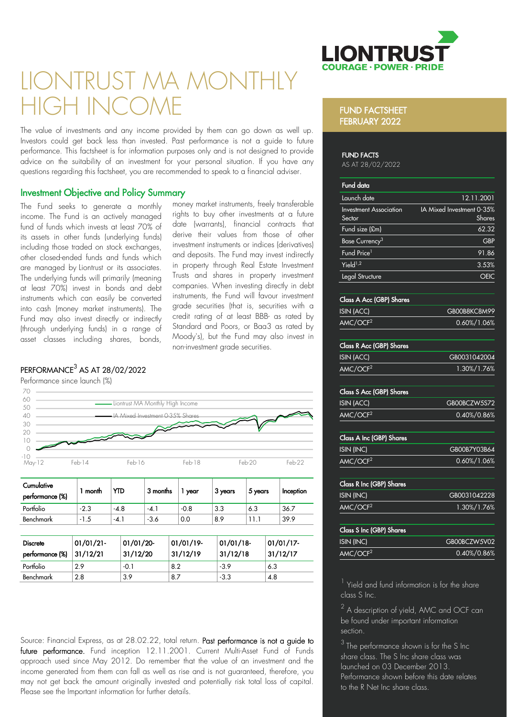

# LIONTRUST MA MOI HIGH IN

The value of investments and any income provided by them can go down as well up. Investors could get back less than invested. Past performance is not a guide to future performance. This factsheet is for information purposes only and is not designed to provide advice on the suitability of an investment for your personal situation. If you have any questions regarding this factsheet, you are recommended to speak to a financial adviser.

## Investment Objective and Policy Summary

The Fund seeks to generate a monthly income. The Fund is an actively managed fund of funds which invests at least 70% of its assets in other funds (underlying funds) including those traded on stock exchanges, other closed ended funds and funds which are managed by Liontrust or its associates. The underlying funds will primarily (meaning at least 70%) invest in bonds and debt instruments which can easily be converted into cash (money market instruments). The Fund may also invest directly or indirectly (through underlying funds) in a range of asset classes including shares, bonds,

money market instruments, freely transferable rights to buy other investments at a future date (warrants), financial contracts that derive their values from those of other investment instruments or indices (derivatives) and deposits. The Fund may invest indirectly in property through Real Estate Investment Trusts and shares in property investment companies. When investing directly in debt instruments, the Fund will favour investment grade securities (that is, securities with a credit rating of at least BBB as rated by Standard and Poors, or Baa3 as rated by Moody's), but the Fund may also invest in non investment grade securities.

# $\mathsf{PERFORMANCE}^3$  AS AT 28/02/2022



| Cumulative<br>performance (%) | month  | YTD    | 3 months | year   | 3 years | 5 years | Inception |
|-------------------------------|--------|--------|----------|--------|---------|---------|-----------|
| Portfolio                     | $-2.3$ | $-4.8$ | $-4.$    | $-0.8$ | 3.3     | 6.3     | 36.7      |
| Benchmark                     | -1.5   | -4. .  | $-3.6$   | 0.0    | 8.9     |         | 39.9      |

| <b>Discrete</b><br>performance (%) | 01/01/21<br>31/12/21 | 01/01/20<br>31/12/20 | $01/01/19$ -<br>31/12/19 | 01/01/18<br>31/12/18 | $01/01/17$ -<br>31/12/17 |
|------------------------------------|----------------------|----------------------|--------------------------|----------------------|--------------------------|
| Portfolio                          | 29                   | $-0.1$               | 8.2                      | $-3.9$               | 6.3                      |
| Benchmark                          | 2.8                  | 3.9                  | 8.7                      | $-3.3$               | 4.8                      |

Source: Financial Express, as at 28.02.22, total return. Past performance is not a guide to future performance. Fund inception 12.11.2001. Current Multi-Asset Fund of Funds approach used since May 2012. Do remember that the value of an investment and the income generated from them can fall as well as rise and is not guaranteed, therefore, you may not get back the amount originally invested and potentially risk total loss of capital. Please see the Important information for further details.

### FUND FACTSHEET FEBRUARY 2022

#### FUND FACTS

AS AT 28/02/2022

| Fund data                               |                                            |
|-----------------------------------------|--------------------------------------------|
| Launch date                             | 12.11.2001                                 |
| <b>Investment Association</b><br>Sector | <b>IA Mixed Investment 0-35%</b><br>Shares |
| Fund size (£m)                          | 62.32                                      |
| Base Currency <sup>3</sup>              | GBP                                        |
| Fund Price <sup>1</sup>                 | 91.86                                      |
| Yield $1,2$                             | 3.53%                                      |
| Legal Structure                         |                                            |

#### Class A Acc (GBP) Shares

| ISIN (ACC)           | GB00B8KC8M99    |
|----------------------|-----------------|
| AMC/OCF <sup>2</sup> | $0.60\%/1.06\%$ |

#### Class R Acc (GBP) Shares

| ISIN (ACC)           | GB0031042004 |
|----------------------|--------------|
| AMC/OCF <sup>2</sup> | 1.30%/1.76%  |

#### Class S Acc (GBP) Shares

| ISIN (ACC)           | GB00BCZW5S72    |
|----------------------|-----------------|
| AMC/OCF <sup>2</sup> | $0.40\%/0.86\%$ |

| Class A Inc (GBP) Shares |                 |
|--------------------------|-----------------|
| ISIN (INC)               | GB00B7Y03B64    |
| AMC/OCF <sup>2</sup>     | $0.60\%/1.06\%$ |

| <b>Class R Inc (GBP) Shares</b> |              |
|---------------------------------|--------------|
| ISIN (INC)                      | GB0031042228 |
| AMC/OCF <sup>2</sup>            | 1.30%/1.76%  |

| <b>Class S Inc (GBP) Shares</b> |                 |
|---------------------------------|-----------------|
| ISIN (INC)                      | GB00BCZW5V02    |
| AMC/OCF <sup>2</sup>            | $0.40\%/0.86\%$ |

<sup>1</sup> Yield and fund information is for the share class S Inc.

 $^2$  A description of yield, AMC and OCF can be found under important information section.

 $3$  The performance shown is for the S Inc share class. The S Inc share class was launched on 03 December 2013. Performance shown before this date relates to the R Net Inc share class.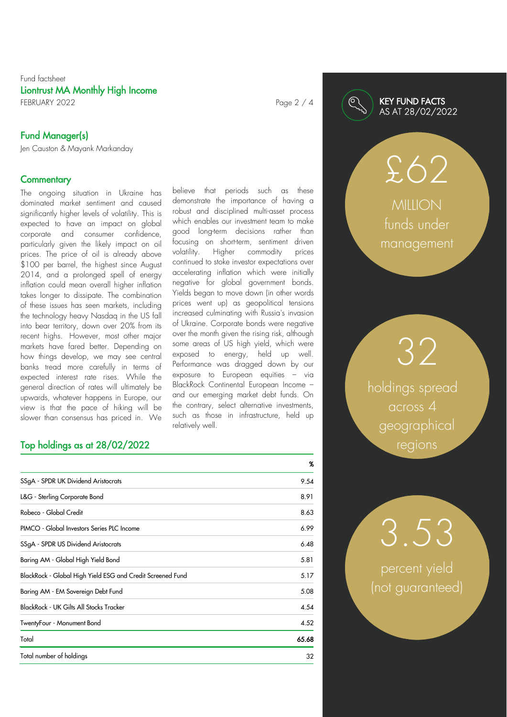### Fund factsheet Liontrust MA Monthly High Income FEBRUARY 2022 **Page 2 / 4**

Fund Manager(s)

Jen Causton & Mayank Markanday

#### **Commentary**

The ongoing situation in Ukraine has dominated market sentiment and caused significantly higher levels of volatility. This is expected to have an impact on global corporate and consumer confidence, particularly given the likely impact on oil prices. The price of oil is already above \$100 per barrel, the highest since August 2014, and a prolonged spell of energy inflation could mean overall higher inflation takes longer to dissipate. The combination of these issues has seen markets, including the technology heavy Nasdaq in the US fall into bear territory, down over 20% from its recent highs. However, most other major markets have fared better. Depending on how things develop, we may see central banks tread more carefully in terms of expected interest rate rises. While the general direction of rates will ultimately be upwards, whatever happens in Europe, our view is that the pace of hiking will be slower than consensus has priced in. We

# Top holdings as at 28/02/2022

|                                                            | %     |
|------------------------------------------------------------|-------|
| SSgA - SPDR UK Dividend Aristocrats                        | 9.54  |
| L&G - Sterling Corporate Bond                              | 8.91  |
| Robeco - Global Credit                                     | 8.63  |
| PIMCO - Global Investors Series PLC Income                 | 6.99  |
| SSgA - SPDR US Dividend Aristocrats                        | 6.48  |
| Baring AM - Global High Yield Bond                         | 5.81  |
| BlackRock - Global High Yield ESG and Credit Screened Fund | 5.17  |
| Baring AM - EM Sovereign Debt Fund                         | 5.08  |
| BlackRock - UK Gilts All Stocks Tracker                    | 4.54  |
| TwentyFour - Monument Bond                                 | 4.52  |
| Total                                                      | 65.68 |
| Total number of holdings                                   | 32    |

relatively well.

## KEY FUND FACTS AS AT 28/02/2022

**MILION** funds under management

£62

holdings spread across 4 geographical regions

32

percent yield (not guaranteed)

3.53

believe that periods such as these demonstrate the importance of having a robust and disciplined multi asset process which enables our investment team to make good long term decisions rather than focusing on short term, sentiment driven volatility. Higher commodity prices continued to stoke investor expectations over accelerating inflation which were initially negative for global government bonds. Yields began to move down (in other words prices went up) as geopolitical tensions increased culminating with Russia's invasion of Ukraine. Corporate bonds were negative over the month given the rising risk, although some areas of US high yield, which were exposed to energy, held up well. Performance was dragged down by our exposure to European equities – via BlackRock Continental European Income – and our emerging market debt funds. On the contrary, select alternative investments, such as those in infrastructure, held up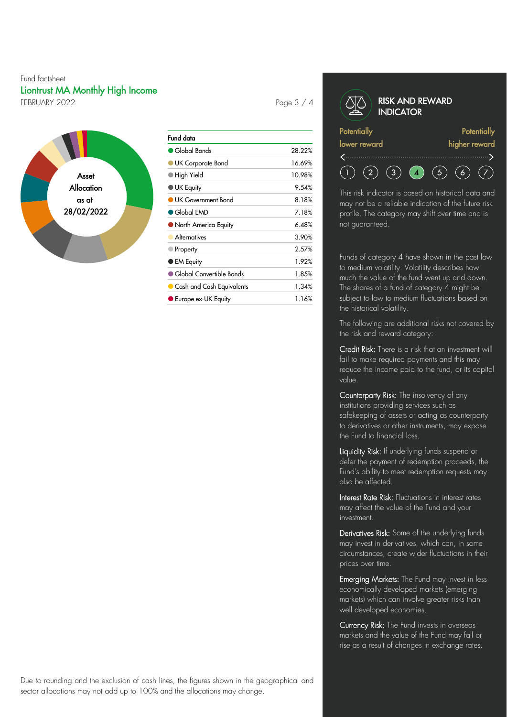### Fund factsheet Liontrust MA Monthly High Income FEBRUARY 2022 Page 3 / 4



| Fund data                               |        |
|-----------------------------------------|--------|
| Global Bonds                            | 28.22% |
| UK Corporate Bond                       | 16.69% |
| $\bullet$ High Yield                    | 10.98% |
| <b>UK Equity</b>                        | 9.54%  |
| UK Government Bond                      | 8.18%  |
| $\bullet$ Global EMD                    | 7.18%  |
| ● North America Equity                  | 6.48%  |
| Alternatives                            | 3.90%  |
| Property                                | 2.57%  |
| ● EM Equity                             | 1.92%  |
| $\blacksquare$ Global Convertible Bonds | 1.85%  |
| $\bullet$ Cash and Cash Equivalents     | 1.34%  |
| Europe ex-UK Equity                     | 1.16%  |

#### RISK AND REWARD **INDICATOR Potentially Potentially** lower reward higher reward  $(5)$  $(2)$  $(3)$   $(4)$  $(6)$  $(7)$

This risk indicator is based on historical data and may not be a reliable indication of the future risk profile. The category may shift over time and is not guaranteed.

Funds of category 4 have shown in the past low to medium volatility. Volatility describes how much the value of the fund went up and down. The shares of a fund of category 4 might be subject to low to medium fluctuations based on the historical volatility.

The following are additional risks not covered by the risk and reward category:

Credit Risk: There is a risk that an investment will fail to make required payments and this may reduce the income paid to the fund, or its capital value.

Counterparty Risk: The insolvency of any institutions providing services such as safekeeping of assets or acting as counterparty to derivatives or other instruments, may expose the Fund to financial loss.

Liquidity Risk: If underlying funds suspend or defer the payment of redemption proceeds, the Fund's ability to meet redemption requests may also be affected.

Interest Rate Risk: Fluctuations in interest rates may affect the value of the Fund and your investment.

Derivatives Risk: Some of the underlying funds may invest in derivatives, which can, in some circumstances, create wider fluctuations in their prices over time.

Emerging Markets: The Fund may invest in less economically developed markets (emerging markets) which can involve greater risks than well developed economies.

Currency Risk: The Fund invests in overseas markets and the value of the Fund may fall or rise as a result of changes in exchange rates.

Due to rounding and the exclusion of cash lines, the figures shown in the geographical and sector allocations may not add up to 100% and the allocations may change.